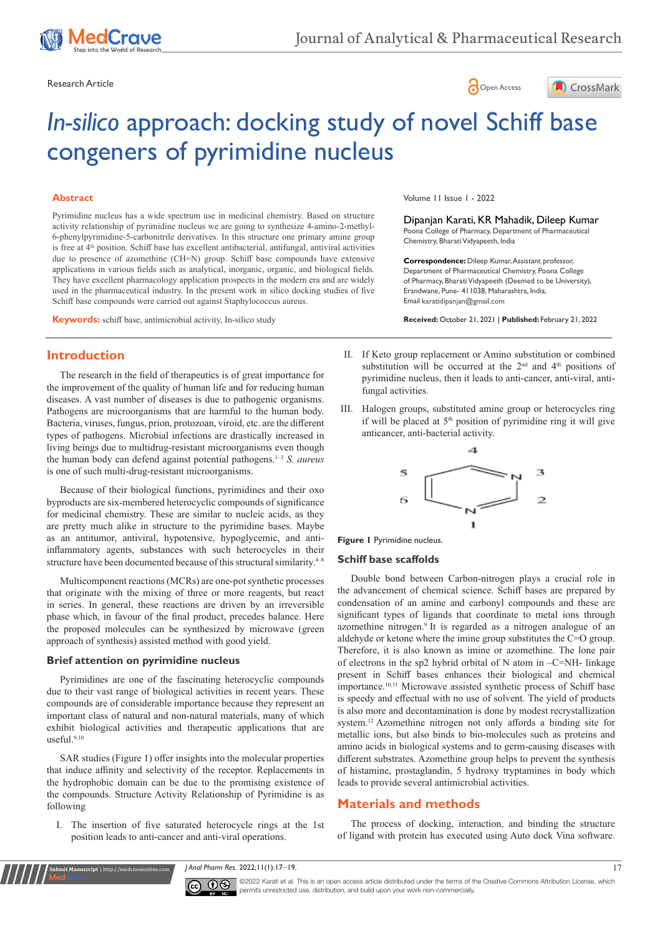





# *In-silico* approach: docking study of novel Schiff base congeners of pyrimidine nucleus

## **Abstract**

Pyrimidine nucleus has a wide spectrum use in medicinal chemistry. Based on structure activity relationship of pyrimidine nucleus we are going to synthesize 4-amino-2-methyl-6-phenylpyrimidine-5-carbonitrile derivatives. In this structure one primary amine group is free at 4<sup>th</sup> position. Schiff base has excellent antibacterial, antifungal, antiviral activities due to presence of azomethine (CH=N) group. Schiff base compounds have extensive applications in various fields such as analytical, inorganic, organic, and biological fields. They have excellent pharmacology application prospects in the modern era and are widely used in the pharmaceutical industry. In the present work in silico docking studies of five Schiff base compounds were carried out against Staphylococcus aureus.

**Keywords:** schiff base, antimicrobial activity, In-silico study

# **Introduction**

The research in the field of therapeutics is of great importance for the improvement of the quality of human life and for reducing human diseases. A vast number of diseases is due to pathogenic organisms. Pathogens are microorganisms that are harmful to the human body. Bacteria, viruses, fungus, prion, protozoan, viroid, etc. are the different types of pathogens. Microbial infections are drastically increased in living beings due to multidrug-resistant microorganisms even though the human body can defend against potential pathogens.1–3 *S. aureus* is one of such multi-drug-resistant microorganisms.

Because of their biological functions, pyrimidines and their oxo byproducts are six-membered heterocyclic compounds of significance for medicinal chemistry. These are similar to nucleic acids, as they are pretty much alike in structure to the pyrimidine bases. Maybe as an antitumor, antiviral, hypotensive, hypoglycemic, and antiinflammatory agents, substances with such heterocycles in their structure have been documented because of this structural similarity.<sup>4-8</sup>

Multicomponent reactions (MCRs) are one-pot synthetic processes that originate with the mixing of three or more reagents, but react in series. In general, these reactions are driven by an irreversible phase which, in favour of the final product, precedes balance. Here the proposed molecules can be synthesized by microwave (green approach of synthesis) assisted method with good yield.

#### **Brief attention on pyrimidine nucleus**

**Submit Manuscript** | http://medcraveonline.com

Pyrimidines are one of the fascinating heterocyclic compounds due to their vast range of biological activities in recent years. These compounds are of considerable importance because they represent an important class of natural and non-natural materials, many of which exhibit biological activities and therapeutic applications that are useful.9,10

SAR studies (Figure 1) offer insights into the molecular properties that induce affinity and selectivity of the receptor. Replacements in the hydrophobic domain can be due to the promising existence of the compounds. Structure Activity Relationship of Pyrimidine is as following

I. The insertion of five saturated heterocycle rings at the 1st position leads to anti-cancer and anti-viral operations.

Volume 11 Issue 1 - 2022

Dipanjan Karati, KR Mahadik, Dileep Kumar Poona College of Pharmacy, Department of Pharmaceutical Chemistry, Bharati Vidyapeeth, India

**Correspondence:** Dileep Kumar, Assistant professor, Department of Pharmaceutical Chemistry, Poona College of Pharmacy, Bharati Vidyapeeth (Deemed to be University), Erandwane, Pune- 411038, Maharashtra, India, Email karatidipanjan@gmail.com

**Received:** October 21, 2021 | **Published:** February 21, 2022

- II. If Keto group replacement or Amino substitution or combined substitution will be occurred at the  $2<sup>nd</sup>$  and  $4<sup>th</sup>$  positions of pyrimidine nucleus, then it leads to anti-cancer, anti-viral, antifungal activities.
- III. Halogen groups, substituted amine group or heterocycles ring if will be placed at  $5<sup>th</sup>$  position of pyrimidine ring it will give anticancer, anti-bacterial activity.



**Figure 1** Pyrimidine nucleus.

#### **Schiff base scaffolds**

Double bond between Carbon-nitrogen plays a crucial role in the advancement of chemical science. Schiff bases are prepared by condensation of an amine and carbonyl compounds and these are significant types of ligands that coordinate to metal ions through azomethine nitrogen.<sup>9</sup>It is regarded as a nitrogen analogue of an aldehyde or ketone where the imine group substitutes the C=O group. Therefore, it is also known as imine or azomethine. The lone pair of electrons in the sp2 hybrid orbital of N atom in –C=NH- linkage present in Schiff bases enhances their biological and chemical importance.<sup>10,11</sup> Microwave assisted synthetic process of Schiff base is speedy and effectual with no use of solvent. The yield of products is also more and decontamination is done by modest recrystallization system.12 Azomethine nitrogen not only affords a binding site for metallic ions, but also binds to bio-molecules such as proteins and amino acids in biological systems and to germ-causing diseases with different substrates. Azomethine group helps to prevent the synthesis of histamine, prostaglandin, 5 hydroxy tryptamines in body which leads to provide several antimicrobial activities.

# **Materials and methods**

The process of docking, interaction, and binding the structure of ligand with protein has executed using Auto dock Vina software.

*J Anal Pharm Res.* 2022;11(1):17‒19. 17



©2022 Karati et al. This is an open access article distributed under the terms of the [Creative Commons Attribution License](https://creativecommons.org/licenses/by-nc/4.0/), which permits unrestricted use, distribution, and build upon your work non-commercially.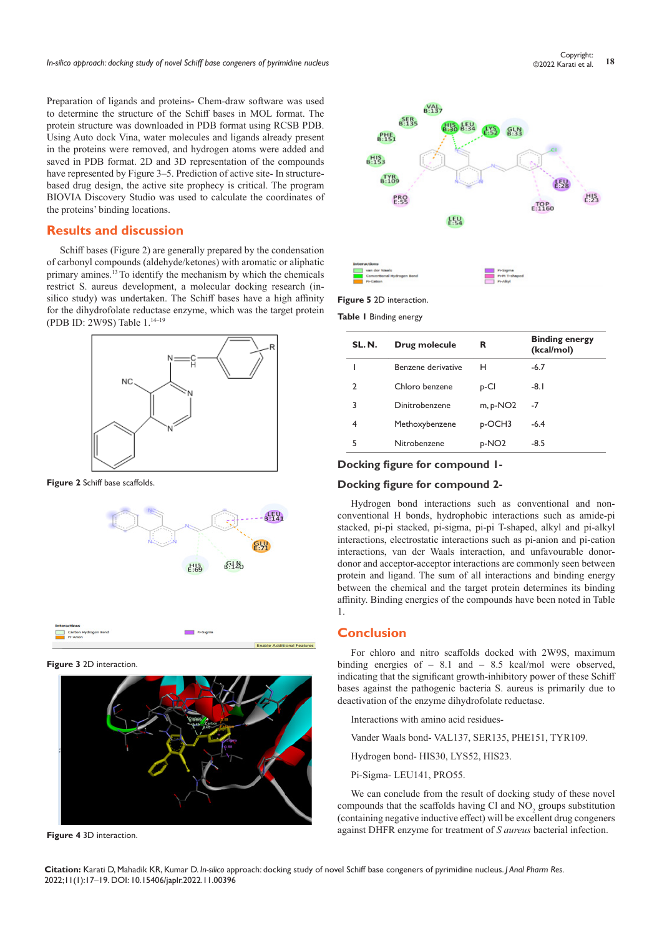Preparation of ligands and proteins**-** Chem-draw software was used to determine the structure of the Schiff bases in MOL format. The protein structure was downloaded in PDB format using RCSB PDB. Using Auto dock Vina, water molecules and ligands already present in the proteins were removed, and hydrogen atoms were added and saved in PDB format. 2D and 3D representation of the compounds have represented by Figure 3–5. Prediction of active site- In structurebased drug design, the active site prophecy is critical. The program BIOVIA Discovery Studio was used to calculate the coordinates of the proteins' binding locations.

## **Results and discussion**

Schiff bases (Figure 2) are generally prepared by the condensation of carbonyl compounds (aldehyde/ketones) with aromatic or aliphatic primary amines.<sup>13</sup> To identify the mechanism by which the chemicals restrict S. aureus development, a molecular docking research (insilico study) was undertaken. The Schiff bases have a high affinity for the dihydrofolate reductase enzyme, which was the target protein (PDB ID: 2W9S) Table 1.14–19



**Figure 2** Schiff base scaffolds.



**Figure 3** 2D interaction.



**Figure 4** 3D interaction.



**Figure 5** 2D interaction.

**Table 1** Binding energy

| SL.N. | Drug molecule      | R                  | <b>Binding energy</b><br>(kcal/mol) |
|-------|--------------------|--------------------|-------------------------------------|
|       | Benzene derivative | н                  | $-6.7$                              |
| C.    | Chloro benzene     | p-Cl               | -8.1                                |
| 3     | Dinitrobenzene     | $m$ , p-NO2        | -7                                  |
| 4     | Methoxybenzene     | <sub>D</sub> -OCH3 | $-6.4$                              |
| 5     | Nitrobenzene       | p-NO <sub>2</sub>  | $-8.5$                              |

#### **Docking figure for compound 1-**

#### **Docking figure for compound 2-**

Hydrogen bond interactions such as conventional and nonconventional H bonds, hydrophobic interactions such as amide-pi stacked, pi-pi stacked, pi-sigma, pi-pi T-shaped, alkyl and pi-alkyl interactions, electrostatic interactions such as pi-anion and pi-cation interactions, van der Waals interaction, and unfavourable donordonor and acceptor-acceptor interactions are commonly seen between protein and ligand. The sum of all interactions and binding energy between the chemical and the target protein determines its binding affinity. Binding energies of the compounds have been noted in Table 1.

# **Conclusion**

For chloro and nitro scaffolds docked with 2W9S, maximum binding energies of  $-8.1$  and  $-8.5$  kcal/mol were observed. indicating that the significant growth-inhibitory power of these Schiff bases against the pathogenic bacteria S. aureus is primarily due to deactivation of the enzyme dihydrofolate reductase.

Interactions with amino acid residues-

Vander Waals bond- VAL137, SER135, PHE151, TYR109.

Hydrogen bond- HIS30, LYS52, HIS23.

Pi-Sigma- LEU141, PRO55.

We can conclude from the result of docking study of these novel compounds that the scaffolds having Cl and  $NO<sub>2</sub>$  groups substitution (containing negative inductive effect) will be excellent drug congeners against DHFR enzyme for treatment of *S aureus* bacterial infection.

**Citation:** Karati D, Mahadik KR, Kumar D. *In-silico* approach: docking study of novel Schiff base congeners of pyrimidine nucleus. *J Anal Pharm Res.* 2022;11(1):17‒19. DOI: [10.15406/japlr.2022.11.00396](https://doi.org/10.15406/japlr.2022.11.00396)